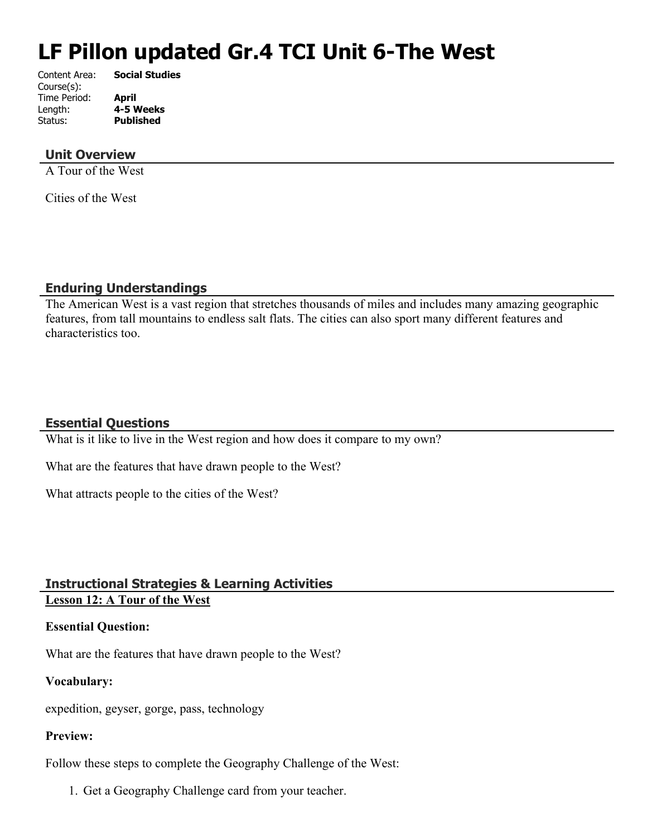# **LF Pillon updated Gr.4 TCI Unit 6-The West**

| Content Area: | <b>Social Studies</b> |
|---------------|-----------------------|
| Course(s):    |                       |
| Time Period:  | April                 |
| Length:       | 4-5 Weeks             |
| Status:       | <b>Published</b>      |
|               |                       |

#### **Unit Overview**

A Tour of the West

Cities of the West

#### **Enduring Understandings**

The American West is a vast region that stretches thousands of miles and includes many amazing geographic features, from tall mountains to endless salt flats. The cities can also sport many different features and characteristics too.

## **Essential Questions**

What is it like to live in the West region and how does it compare to my own?

What are the features that have drawn people to the West?

What attracts people to the cities of the West?

## **Instructional Strategies & Learning Activities Lesson 12: A Tour of the West**

#### **Essential Question:**

What are the features that have drawn people to the West?

#### **Vocabulary:**

expedition, geyser, gorge, pass, technology

#### **Preview:**

Follow these steps to complete the Geography Challenge of the West:

1. Get a Geography Challenge card from your teacher.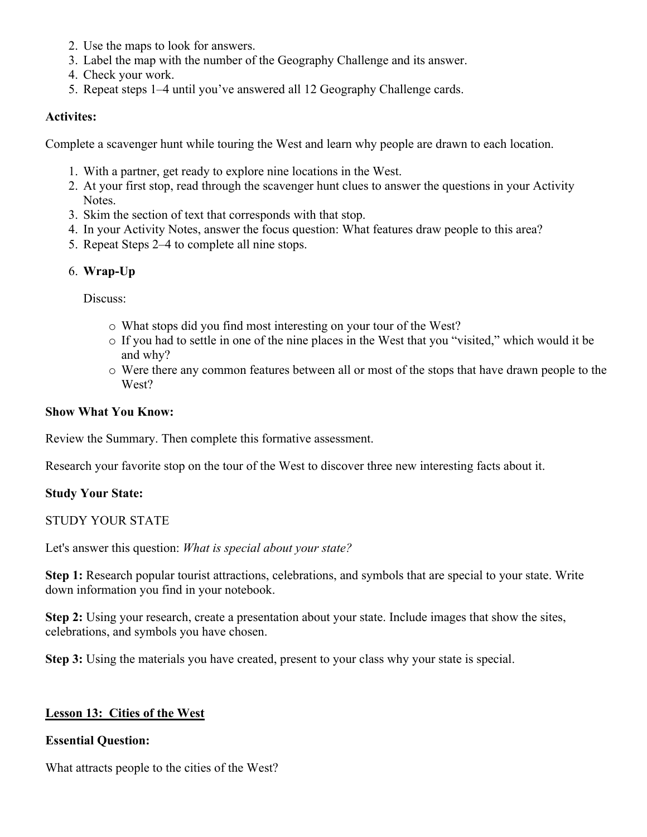- 2. Use the maps to look for answers.
- 3. Label the map with the number of the Geography Challenge and its answer.
- 4. Check your work.
- 5. Repeat steps 1–4 until you've answered all 12 Geography Challenge cards.

#### **Activites:**

Complete a scavenger hunt while touring the West and learn why people are drawn to each location.

- 1. With a partner, get ready to explore nine locations in the West.
- 2. At your first stop, read through the scavenger hunt clues to answer the questions in your Activity Notes.
- 3. Skim the section of text that corresponds with that stop.
- 4. In your Activity Notes, answer the focus question: What features draw people to this area?
- 5. Repeat Steps 2–4 to complete all nine stops.

## 6. **Wrap-Up**

Discuss:

- o What stops did you find most interesting on your tour of the West?
- o If you had to settle in one of the nine places in the West that you "visited," which would it be and why?
- o Were there any common features between all or most of the stops that have drawn people to the West?

#### **Show What You Know:**

Review the Summary. Then complete this formative assessment.

Research your favorite stop on the tour of the West to discover three new interesting facts about it.

#### **Study Your State:**

STUDY YOUR STATE

Let's answer this question: *What is special about your state?*

**Step 1:** Research popular tourist attractions, celebrations, and symbols that are special to your state. Write down information you find in your notebook.

**Step 2:** Using your research, create a presentation about your state. Include images that show the sites, celebrations, and symbols you have chosen.

**Step 3:** Using the materials you have created, present to your class why your state is special.

#### **Lesson 13: Cities of the West**

#### **Essential Question:**

What attracts people to the cities of the West?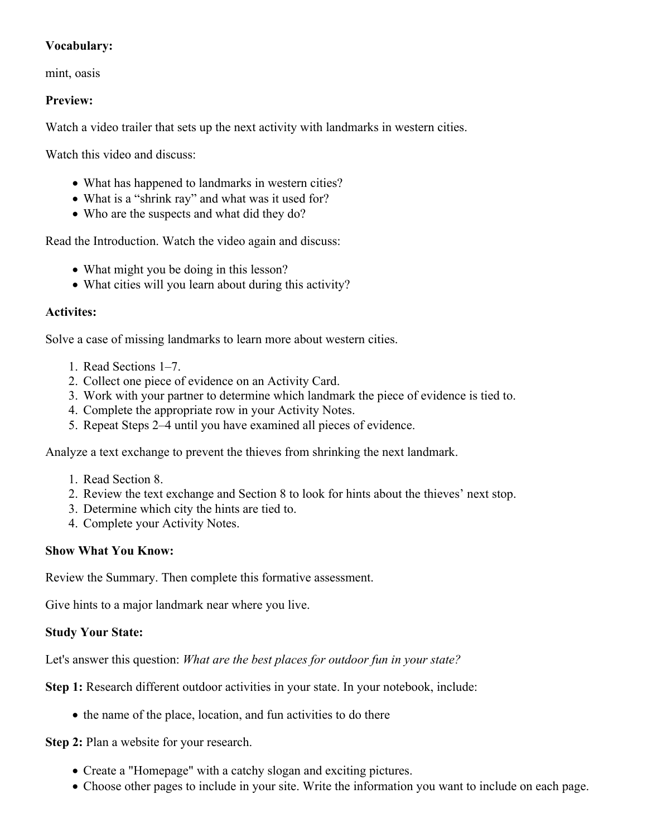## **Vocabulary:**

mint, oasis

## **Preview:**

Watch a video trailer that sets up the next activity with landmarks in western cities.

Watch this video and discuss:

- What has happened to landmarks in western cities?
- What is a "shrink ray" and what was it used for?
- Who are the suspects and what did they do?

Read the Introduction. Watch the video again and discuss:

- What might you be doing in this lesson?
- What cities will you learn about during this activity?

## **Activites:**

Solve a case of missing landmarks to learn more about western cities.

- 1. Read Sections 1–7.
- 2. Collect one piece of evidence on an Activity Card.
- 3. Work with your partner to determine which landmark the piece of evidence is tied to.
- 4. Complete the appropriate row in your Activity Notes.
- 5. Repeat Steps 2–4 until you have examined all pieces of evidence.

Analyze a text exchange to prevent the thieves from shrinking the next landmark.

- 1. Read Section 8.
- 2. Review the text exchange and Section 8 to look for hints about the thieves' next stop.
- 3. Determine which city the hints are tied to.
- 4. Complete your Activity Notes.

#### **Show What You Know:**

Review the Summary. Then complete this formative assessment.

Give hints to a major landmark near where you live.

#### **Study Your State:**

Let's answer this question: *What are the best places for outdoor fun in your state?*

**Step 1:** Research different outdoor activities in your state. In your notebook, include:

• the name of the place, location, and fun activities to do there

**Step 2:** Plan a website for your research.

- Create a "Homepage" with a catchy slogan and exciting pictures.
- Choose other pages to include in your site. Write the information you want to include on each page.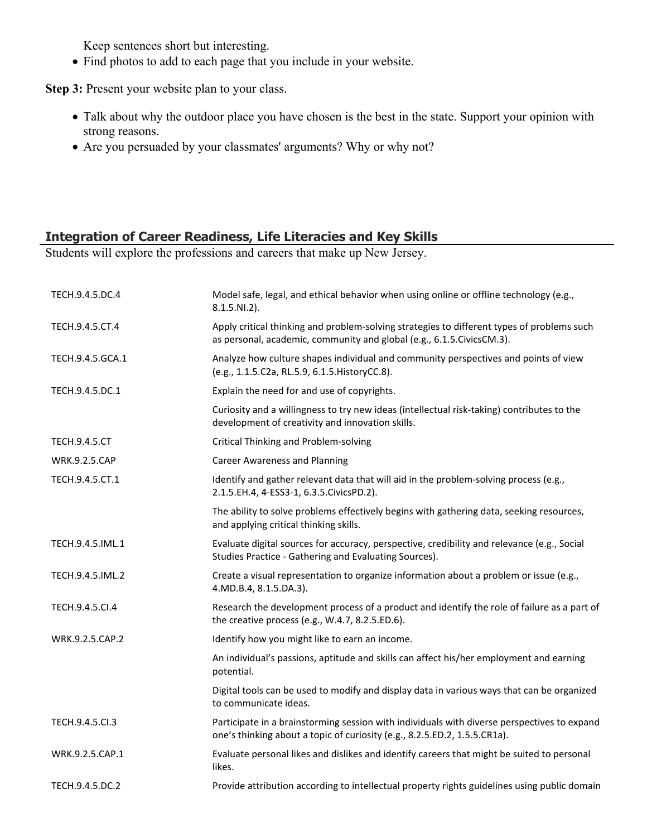Keep sentences short but interesting.

Find photos to add to each page that you include in your website.

**Step 3:** Present your website plan to your class.

- Talk about why the outdoor place you have chosen is the best in the state. Support your opinion with strong reasons.
- Are you persuaded by your classmates' arguments? Why or why not?

## **Integration of Career Readiness, Life Literacies and Key Skills**

Students will explore the professions and careers that make up New Jersey.

| TECH.9.4.5.DC.4      | Model safe, legal, and ethical behavior when using online or offline technology (e.g.,<br>8.1.5.NI.2).                                                                   |
|----------------------|--------------------------------------------------------------------------------------------------------------------------------------------------------------------------|
| TECH.9.4.5.CT.4      | Apply critical thinking and problem-solving strategies to different types of problems such<br>as personal, academic, community and global (e.g., 6.1.5. Civics CM.3).    |
| TECH.9.4.5.GCA.1     | Analyze how culture shapes individual and community perspectives and points of view<br>(e.g., 1.1.5.C2a, RL.5.9, 6.1.5. HistoryCC.8).                                    |
| TECH.9.4.5.DC.1      | Explain the need for and use of copyrights.                                                                                                                              |
|                      | Curiosity and a willingness to try new ideas (intellectual risk-taking) contributes to the<br>development of creativity and innovation skills.                           |
| <b>TECH.9.4.5.CT</b> | Critical Thinking and Problem-solving                                                                                                                                    |
| <b>WRK.9.2.5.CAP</b> | <b>Career Awareness and Planning</b>                                                                                                                                     |
| TECH.9.4.5.CT.1      | Identify and gather relevant data that will aid in the problem-solving process (e.g.,<br>2.1.5.EH.4, 4-ESS3-1, 6.3.5.CivicsPD.2).                                        |
|                      | The ability to solve problems effectively begins with gathering data, seeking resources,<br>and applying critical thinking skills.                                       |
| TECH.9.4.5.IML.1     | Evaluate digital sources for accuracy, perspective, credibility and relevance (e.g., Social<br>Studies Practice - Gathering and Evaluating Sources).                     |
| TECH.9.4.5.IML.2     | Create a visual representation to organize information about a problem or issue (e.g.,<br>4.MD.B.4, 8.1.5.DA.3).                                                         |
| TECH.9.4.5.Cl.4      | Research the development process of a product and identify the role of failure as a part of<br>the creative process (e.g., W.4.7, 8.2.5.ED.6).                           |
| WRK.9.2.5.CAP.2      | Identify how you might like to earn an income.                                                                                                                           |
|                      | An individual's passions, aptitude and skills can affect his/her employment and earning<br>potential.                                                                    |
|                      | Digital tools can be used to modify and display data in various ways that can be organized<br>to communicate ideas.                                                      |
| TECH.9.4.5.Cl.3      | Participate in a brainstorming session with individuals with diverse perspectives to expand<br>one's thinking about a topic of curiosity (e.g., 8.2.5.ED.2, 1.5.5.CR1a). |
| WRK.9.2.5.CAP.1      | Evaluate personal likes and dislikes and identify careers that might be suited to personal<br>likes.                                                                     |
| TECH.9.4.5.DC.2      | Provide attribution according to intellectual property rights guidelines using public domain                                                                             |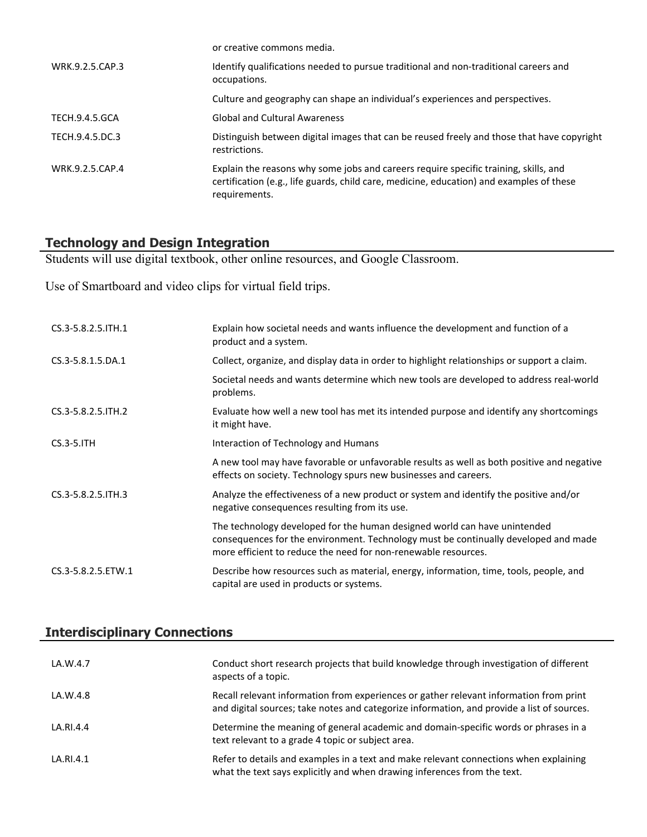|                       | or creative commons media.                                                                                                                                                                        |
|-----------------------|---------------------------------------------------------------------------------------------------------------------------------------------------------------------------------------------------|
| WRK.9.2.5.CAP.3       | Identify qualifications needed to pursue traditional and non-traditional careers and<br>occupations.                                                                                              |
|                       | Culture and geography can shape an individual's experiences and perspectives.                                                                                                                     |
| <b>TECH.9.4.5.GCA</b> | <b>Global and Cultural Awareness</b>                                                                                                                                                              |
| TECH.9.4.5.DC.3       | Distinguish between digital images that can be reused freely and those that have copyright<br>restrictions.                                                                                       |
| WRK.9.2.5.CAP.4       | Explain the reasons why some jobs and careers require specific training, skills, and<br>certification (e.g., life guards, child care, medicine, education) and examples of these<br>requirements. |

## **Technology and Design Integration**

Students will use digital textbook, other online resources, and Google Classroom.

Use of Smartboard and video clips for virtual field trips.

| CS.3-5.8.2.5. ITH.1 | Explain how societal needs and wants influence the development and function of a<br>product and a system.                                                                                                                          |
|---------------------|------------------------------------------------------------------------------------------------------------------------------------------------------------------------------------------------------------------------------------|
| CS.3-5.8.1.5.DA.1   | Collect, organize, and display data in order to highlight relationships or support a claim.                                                                                                                                        |
|                     | Societal needs and wants determine which new tools are developed to address real-world<br>problems.                                                                                                                                |
| CS.3-5.8.2.5. ITH.2 | Evaluate how well a new tool has met its intended purpose and identify any shortcomings<br>it might have.                                                                                                                          |
| $CS.3-5.1TH$        | Interaction of Technology and Humans                                                                                                                                                                                               |
|                     | A new tool may have favorable or unfavorable results as well as both positive and negative<br>effects on society. Technology spurs new businesses and careers.                                                                     |
| CS.3-5.8.2.5. ITH.3 | Analyze the effectiveness of a new product or system and identify the positive and/or<br>negative consequences resulting from its use.                                                                                             |
|                     | The technology developed for the human designed world can have unintended<br>consequences for the environment. Technology must be continually developed and made<br>more efficient to reduce the need for non-renewable resources. |
| CS.3-5.8.2.5.ETW.1  | Describe how resources such as material, energy, information, time, tools, people, and<br>capital are used in products or systems.                                                                                                 |

# **Interdisciplinary Connections**

| LA.W.4.7  | Conduct short research projects that build knowledge through investigation of different<br>aspects of a topic.                                                                       |
|-----------|--------------------------------------------------------------------------------------------------------------------------------------------------------------------------------------|
| LA.W.4.8  | Recall relevant information from experiences or gather relevant information from print<br>and digital sources; take notes and categorize information, and provide a list of sources. |
| LA.RI.4.4 | Determine the meaning of general academic and domain-specific words or phrases in a<br>text relevant to a grade 4 topic or subject area.                                             |
| LA.RI.4.1 | Refer to details and examples in a text and make relevant connections when explaining<br>what the text says explicitly and when drawing inferences from the text.                    |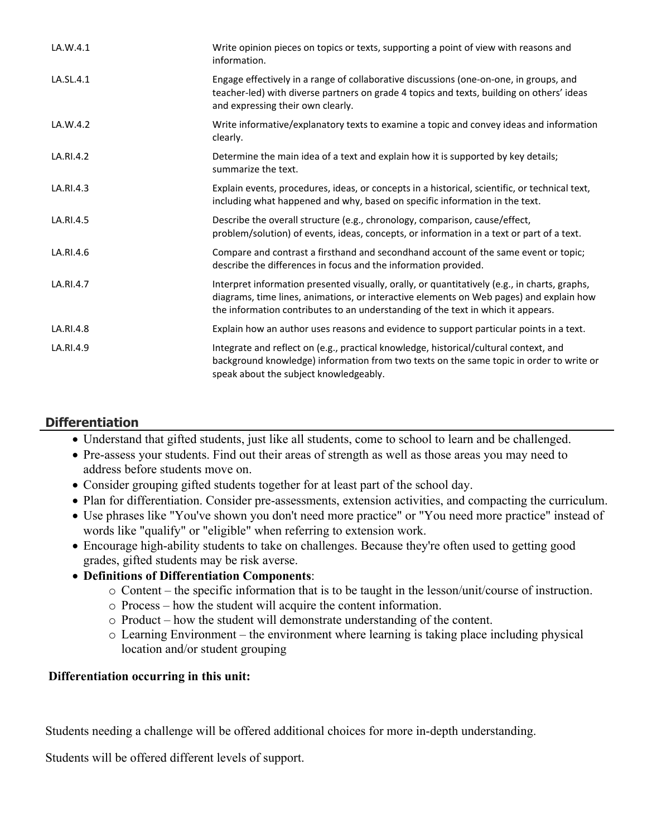| LA.W.4.1  | Write opinion pieces on topics or texts, supporting a point of view with reasons and<br>information.                                                                                                                                                                         |
|-----------|------------------------------------------------------------------------------------------------------------------------------------------------------------------------------------------------------------------------------------------------------------------------------|
| LA.SL.4.1 | Engage effectively in a range of collaborative discussions (one-on-one, in groups, and<br>teacher-led) with diverse partners on grade 4 topics and texts, building on others' ideas<br>and expressing their own clearly.                                                     |
| LA.W.4.2  | Write informative/explanatory texts to examine a topic and convey ideas and information<br>clearly.                                                                                                                                                                          |
| LA.RI.4.2 | Determine the main idea of a text and explain how it is supported by key details;<br>summarize the text.                                                                                                                                                                     |
| LA.RI.4.3 | Explain events, procedures, ideas, or concepts in a historical, scientific, or technical text,<br>including what happened and why, based on specific information in the text.                                                                                                |
| LA.RI.4.5 | Describe the overall structure (e.g., chronology, comparison, cause/effect,<br>problem/solution) of events, ideas, concepts, or information in a text or part of a text.                                                                                                     |
| LA.RI.4.6 | Compare and contrast a firsthand and secondhand account of the same event or topic;<br>describe the differences in focus and the information provided.                                                                                                                       |
| LA.RI.4.7 | Interpret information presented visually, orally, or quantitatively (e.g., in charts, graphs,<br>diagrams, time lines, animations, or interactive elements on Web pages) and explain how<br>the information contributes to an understanding of the text in which it appears. |
| LA.RI.4.8 | Explain how an author uses reasons and evidence to support particular points in a text.                                                                                                                                                                                      |
| LA.RI.4.9 | Integrate and reflect on (e.g., practical knowledge, historical/cultural context, and<br>background knowledge) information from two texts on the same topic in order to write or<br>speak about the subject knowledgeably.                                                   |

## **Differentiation**

- Understand that gifted students, just like all students, come to school to learn and be challenged.
- Pre-assess your students. Find out their areas of strength as well as those areas you may need to address before students move on.
- Consider grouping gifted students together for at least part of the school day.
- Plan for differentiation. Consider pre-assessments, extension activities, and compacting the curriculum.
- Use phrases like "You've shown you don't need more practice" or "You need more practice" instead of words like "qualify" or "eligible" when referring to extension work.
- Encourage high-ability students to take on challenges. Because they're often used to getting good grades, gifted students may be risk averse.
- **Definitions of Differentiation Components**:
	- o Content the specific information that is to be taught in the lesson/unit/course of instruction.
	- o Process how the student will acquire the content information.
	- o Product how the student will demonstrate understanding of the content.
	- o Learning Environment the environment where learning is taking place including physical location and/or student grouping

#### **Differentiation occurring in this unit:**

Students needing a challenge will be offered additional choices for more in-depth understanding.

Students will be offered different levels of support.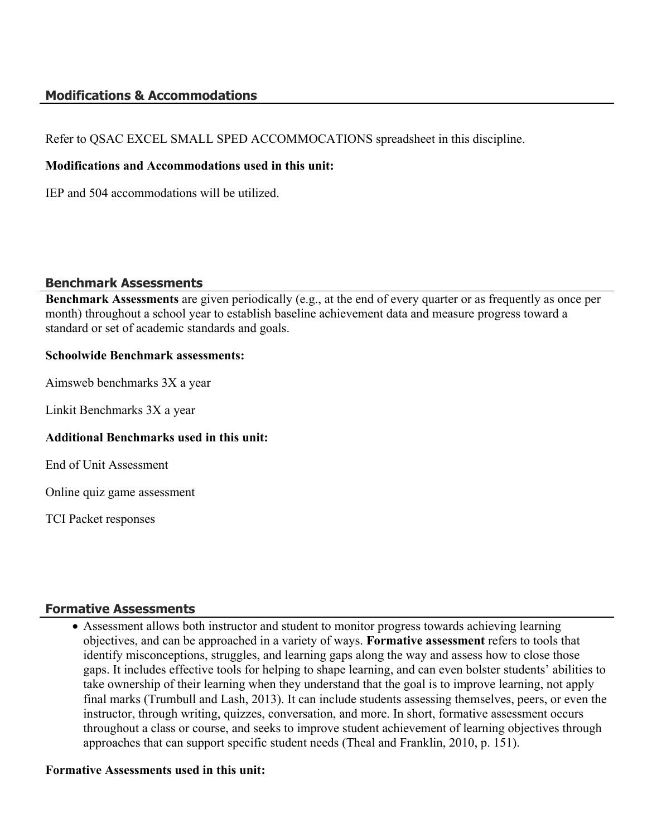## **Modifications & Accommodations**

Refer to QSAC EXCEL SMALL SPED ACCOMMOCATIONS spreadsheet in this discipline.

#### **Modifications and Accommodations used in this unit:**

IEP and 504 accommodations will be utilized.

#### **Benchmark Assessments**

**Benchmark Assessments** are given periodically (e.g., at the end of every quarter or as frequently as once per month) throughout a school year to establish baseline achievement data and measure progress toward a standard or set of academic standards and goals.

#### **Schoolwide Benchmark assessments:**

Aimsweb benchmarks 3X a year

Linkit Benchmarks 3X a year

#### **Additional Benchmarks used in this unit:**

End of Unit Assessment

Online quiz game assessment

TCI Packet responses

#### **Formative Assessments**

 Assessment allows both instructor and student to monitor progress towards achieving learning objectives, and can be approached in a variety of ways. **Formative assessment** refers to tools that identify misconceptions, struggles, and learning gaps along the way and assess how to close those gaps. It includes effective tools for helping to shape learning, and can even bolster students' abilities to take ownership of their learning when they understand that the goal is to improve learning, not apply final marks (Trumbull and Lash, 2013). It can include students assessing themselves, peers, or even the instructor, through writing, quizzes, conversation, and more. In short, formative assessment occurs throughout a class or course, and seeks to improve student achievement of learning objectives through approaches that can support specific student needs (Theal and Franklin, 2010, p. 151).

#### **Formative Assessments used in this unit:**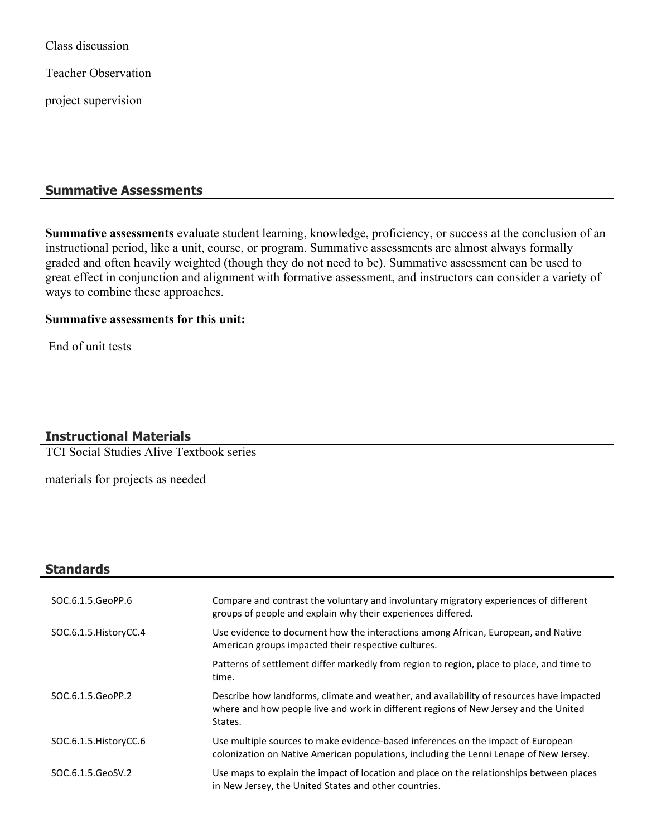Class discussion

Teacher Observation

project supervision

# **Summative Assessments**

**Summative assessments** evaluate student learning, knowledge, proficiency, or success at the conclusion of an instructional period, like a unit, course, or program. Summative assessments are almost always formally graded and often heavily weighted (though they do not need to be). Summative assessment can be used to great effect in conjunction and alignment with formative assessment, and instructors can consider a variety of ways to combine these approaches.

#### **Summative assessments for this unit:**

End of unit tests

## **Instructional Materials**

TCI Social Studies Alive Textbook series

materials for projects as needed

## **Standards**

| SOC.6.1.5.GeoPP.6      | Compare and contrast the voluntary and involuntary migratory experiences of different<br>groups of people and explain why their experiences differed.                                       |
|------------------------|---------------------------------------------------------------------------------------------------------------------------------------------------------------------------------------------|
| SOC.6.1.5. HistoryCC.4 | Use evidence to document how the interactions among African, European, and Native<br>American groups impacted their respective cultures.                                                    |
|                        | Patterns of settlement differ markedly from region to region, place to place, and time to<br>time.                                                                                          |
| SOC.6.1.5.GeoPP.2      | Describe how landforms, climate and weather, and availability of resources have impacted<br>where and how people live and work in different regions of New Jersey and the United<br>States. |
| SOC.6.1.5. HistoryCC.6 | Use multiple sources to make evidence-based inferences on the impact of European<br>colonization on Native American populations, including the Lenni Lenape of New Jersey.                  |
| SOC.6.1.5.GeoSV.2      | Use maps to explain the impact of location and place on the relationships between places<br>in New Jersey, the United States and other countries.                                           |